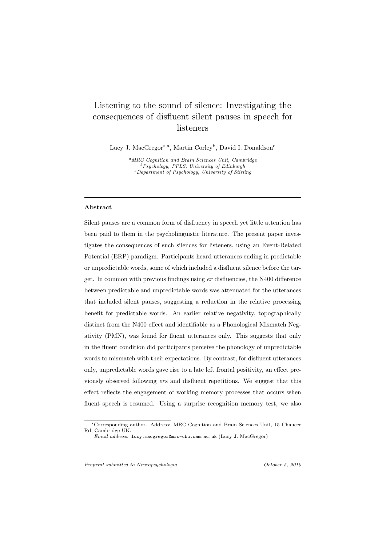# Listening to the sound of silence: Investigating the consequences of disfluent silent pauses in speech for listeners

Lucy J. MacGregor<sup>\*,a</sup>, Martin Corley<sup>b</sup>, David I. Donaldson<sup>c</sup>

<sup>a</sup>MRC Cognition and Brain Sciences Unit, Cambridge  $b$ Psychology, PPLS, University of Edinburgh <sup>c</sup>Department of Psychology, University of Stirling

# Abstract

Silent pauses are a common form of disfluency in speech yet little attention has been paid to them in the psycholinguistic literature. The present paper investigates the consequences of such silences for listeners, using an Event-Related Potential (ERP) paradigm. Participants heard utterances ending in predictable or unpredictable words, some of which included a disfluent silence before the target. In common with previous findings using er disfluencies, the N400 difference between predictable and unpredictable words was attenuated for the utterances that included silent pauses, suggesting a reduction in the relative processing benefit for predictable words. An earlier relative negativity, topographically distinct from the N400 effect and identifiable as a Phonological Mismatch Negativity (PMN), was found for fluent utterances only. This suggests that only in the fluent condition did participants perceive the phonology of unpredictable words to mismatch with their expectations. By contrast, for disfluent utterances only, unpredictable words gave rise to a late left frontal positivity, an effect previously observed following ers and disfluent repetitions. We suggest that this effect reflects the engagement of working memory processes that occurs when fluent speech is resumed. Using a surprise recognition memory test, we also

Preprint submitted to Neuropsychologia  $October\ 5, \ 2010$ 

<sup>∗</sup>Corresponding author. Address: MRC Cognition and Brain Sciences Unit, 15 Chaucer Rd, Cambridge UK.

Email address: lucy.macgregor@mrc-cbu.cam.ac.uk (Lucy J. MacGregor)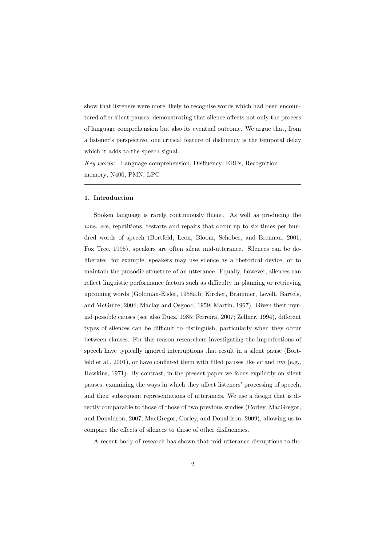show that listeners were more likely to recognise words which had been encountered after silent pauses, demonstrating that silence affects not only the process of language comprehension but also its eventual outcome. We argue that, from a listener's perspective, one critical feature of disfluency is the temporal delay which it adds to the speech signal.

Key words: Language comprehension, Disfluency, ERPs, Recognition memory, N400, PMN, LPC

## 1. Introduction

Spoken language is rarely continuously fluent. As well as producing the ums, ers, repetitions, restarts and repairs that occur up to six times per hundred words of speech (Bortfeld, Leon, Bloom, Schober, and Brennan, 2001; Fox Tree, 1995), speakers are often silent mid-utterance. Silences can be deliberate: for example, speakers may use silence as a rhetorical device, or to maintain the prosodic structure of an utterance. Equally, however, silences can reflect linguistic performance factors such as difficulty in planning or retrieving upcoming words (Goldman-Eisler, 1958a,b; Kircher, Brammer, Levelt, Bartels, and McGuire, 2004; Maclay and Osgood, 1959; Martin, 1967). Given their myriad possible causes (see also Duez, 1985; Ferreira, 2007; Zellner, 1994), different types of silences can be difficult to distinguish, particularly when they occur between clauses. For this reason researchers investigating the imperfections of speech have typically ignored interruptions that result in a silent pause (Bortfeld et al., 2001), or have conflated them with filled pauses like  $er$  and  $um$  (e.g., Hawkins, 1971). By contrast, in the present paper we focus explicitly on silent pauses, examining the ways in which they affect listeners' processing of speech, and their subsequent representations of utterances. We use a design that is directly comparable to those of those of two previous studies (Corley, MacGregor, and Donaldson, 2007; MacGregor, Corley, and Donaldson, 2009), allowing us to compare the effects of silences to those of other disfluencies.

A recent body of research has shown that mid-utterance disruptions to flu-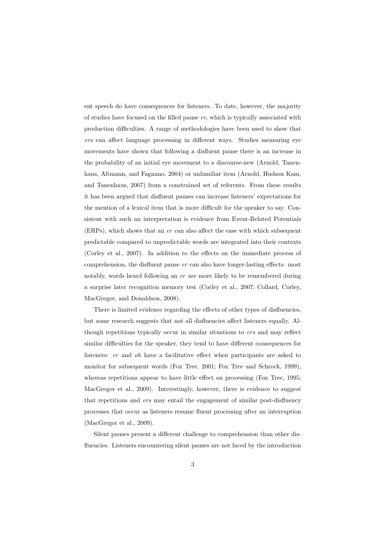ent speech do have consequences for listeners. To date, however, the majority of studies have focused on the filled pause  $er$ , which is typically associated with production difficulties. A range of methodologies have been used to show that ers can affect language processing in different ways. Studies measuring eye movements have shown that following a disfluent pause there is an increase in the probability of an initial eye movement to a discourse-new (Arnold, Tanenhaus, Altmann, and Fagnano, 2004) or unfamiliar item (Arnold, Hudson Kam, and Tanenhaus, 2007) from a constrained set of referents. From these results it has been argued that disfluent pauses can increase listeners' expectations for the mention of a lexical item that is more difficult for the speaker to say. Consistent with such an interpretation is evidence from Event-Related Potentials (ERPs), which shows that an er can also affect the ease with which subsequent predictable compared to unpredictable words are integrated into their contexts (Corley et al., 2007). In addition to the effects on the immediate process of comprehension, the disfluent pause er can also have longer-lasting effects: most notably, words heard following an er are more likely to be remembered during a surprise later recognition memory test (Corley et al., 2007; Collard, Corley, MacGregor, and Donaldson, 2008).

There is limited evidence regarding the effects of other types of disfluencies, but some research suggests that not all disfluencies affect listeners equally. Although repetitions typically occur in similar situations to ers and may reflect similar difficulties for the speaker, they tend to have different consequences for listeners: er and oh have a facilitative effect when participants are asked to monitor for subsequent words (Fox Tree, 2001; Fox Tree and Schrock, 1999), whereas repetitions appear to have little effect on processing (Fox Tree, 1995; MacGregor et al., 2009). Interestingly, however, there is evidence to suggest that repetitions and ers may entail the engagement of similar post-disfluency processes that occur as listeners resume fluent processing after an interruption (MacGregor et al., 2009).

Silent pauses present a different challenge to comprehension than other disfluencies. Listeners encountering silent pauses are not faced by the introduction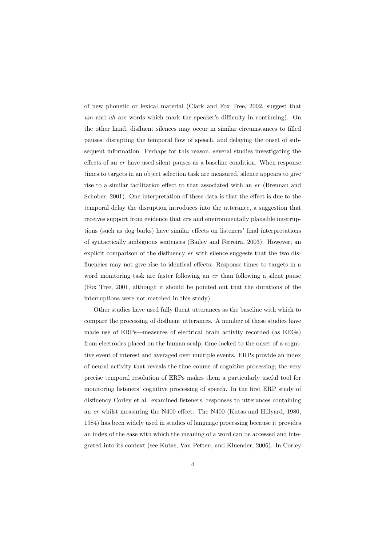of new phonetic or lexical material (Clark and Fox Tree, 2002, suggest that um and uh are words which mark the speaker's difficulty in continuing). On the other hand, disfluent silences may occur in similar circumstances to filled pauses, disrupting the temporal flow of speech, and delaying the onset of subsequent information. Perhaps for this reason, several studies investigating the effects of an er have used silent pauses as a baseline condition. When response times to targets in an object selection task are measured, silence appears to give rise to a similar facilitation effect to that associated with an er (Brennan and Schober, 2001). One interpretation of these data is that the effect is due to the temporal delay the disruption introduces into the utterance, a suggestion that receives support from evidence that ers and environmentally plausible interruptions (such as dog barks) have similar effects on listeners' final interpretations of syntactically ambiguous sentences (Bailey and Ferreira, 2003). However, an explicit comparison of the disfluency er with silence suggests that the two disfluencies may not give rise to identical effects: Response times to targets in a word monitoring task are faster following an er than following a silent pause (Fox Tree, 2001, although it should be pointed out that the durations of the interruptions were not matched in this study).

Other studies have used fully fluent utterances as the baseline with which to compare the processing of disfluent utterances. A number of these studies have made use of ERPs—measures of electrical brain activity recorded (as EEGs) from electrodes placed on the human scalp, time-locked to the onset of a cognitive event of interest and averaged over multiple events. ERPs provide an index of neural activity that reveals the time course of cognitive processing; the very precise temporal resolution of ERPs makes them a particularly useful tool for monitoring listeners' cognitive processing of speech. In the first ERP study of disfluency Corley et al. examined listeners' responses to utterances containing an er whilst measuring the N400 effect. The N400 (Kutas and Hillyard, 1980, 1984) has been widely used in studies of language processing because it provides an index of the ease with which the meaning of a word can be accessed and integrated into its context (see Kutas, Van Petten, and Kluender, 2006). In Corley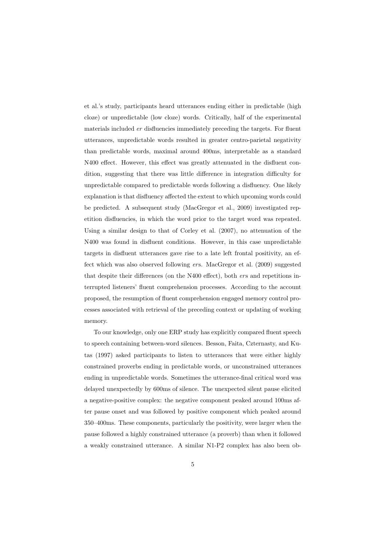et al.'s study, participants heard utterances ending either in predictable (high cloze) or unpredictable (low cloze) words. Critically, half of the experimental materials included er disfluencies immediately preceding the targets. For fluent utterances, unpredictable words resulted in greater centro-parietal negativity than predictable words, maximal around 400ms, interpretable as a standard N400 effect. However, this effect was greatly attenuated in the disfluent condition, suggesting that there was little difference in integration difficulty for unpredictable compared to predictable words following a disfluency. One likely explanation is that disfluency affected the extent to which upcoming words could be predicted. A subsequent study (MacGregor et al., 2009) investigated repetition disfluencies, in which the word prior to the target word was repeated. Using a similar design to that of Corley et al. (2007), no attenuation of the N400 was found in disfluent conditions. However, in this case unpredictable targets in disfluent utterances gave rise to a late left frontal positivity, an effect which was also observed following  $ers.$  MacGregor et al. (2009) suggested that despite their differences (on the  $N400$  effect), both  $ers$  and repetitions interrupted listeners' fluent comprehension processes. According to the account proposed, the resumption of fluent comprehension engaged memory control processes associated with retrieval of the preceding context or updating of working memory.

To our knowledge, only one ERP study has explicitly compared fluent speech to speech containing between-word silences. Besson, Faita, Czternasty, and Kutas (1997) asked participants to listen to utterances that were either highly constrained proverbs ending in predictable words, or unconstrained utterances ending in unpredictable words. Sometimes the utterance-final critical word was delayed unexpectedly by 600ms of silence. The unexpected silent pause elicited a negative-positive complex: the negative component peaked around 100ms after pause onset and was followed by positive component which peaked around 350–400ms. These components, particularly the positivity, were larger when the pause followed a highly constrained utterance (a proverb) than when it followed a weakly constrained utterance. A similar N1-P2 complex has also been ob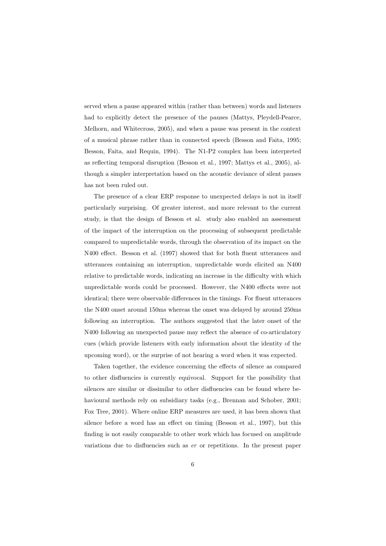served when a pause appeared within (rather than between) words and listeners had to explicitly detect the presence of the pauses (Mattys, Pleydell-Pearce, Melhorn, and Whitecross, 2005), and when a pause was present in the context of a musical phrase rather than in connected speech (Besson and Faita, 1995; Besson, Faita, and Requin, 1994). The N1-P2 complex has been interpreted as reflecting temporal disruption (Besson et al., 1997; Mattys et al., 2005), although a simpler interpretation based on the acoustic deviance of silent pauses has not been ruled out.

The presence of a clear ERP response to unexpected delays is not in itself particularly surprising. Of greater interest, and more relevant to the current study, is that the design of Besson et al. study also enabled an assessment of the impact of the interruption on the processing of subsequent predictable compared to unpredictable words, through the observation of its impact on the N400 effect. Besson et al. (1997) showed that for both fluent utterances and utterances containing an interruption, unpredictable words elicited an N400 relative to predictable words, indicating an increase in the difficulty with which unpredictable words could be processed. However, the N400 effects were not identical; there were observable differences in the timings. For fluent utterances the N400 onset around 150ms whereas the onset was delayed by around 250ms following an interruption. The authors suggested that the later onset of the N400 following an unexpected pause may reflect the absence of co-articulatory cues (which provide listeners with early information about the identity of the upcoming word), or the surprise of not hearing a word when it was expected.

Taken together, the evidence concerning the effects of silence as compared to other disfluencies is currently equivocal. Support for the possibility that silences are similar or dissimilar to other disfluencies can be found where behavioural methods rely on subsidiary tasks (e.g., Brennan and Schober, 2001; Fox Tree, 2001). Where online ERP measures are used, it has been shown that silence before a word has an effect on timing (Besson et al., 1997), but this finding is not easily comparable to other work which has focused on amplitude variations due to disfluencies such as er or repetitions. In the present paper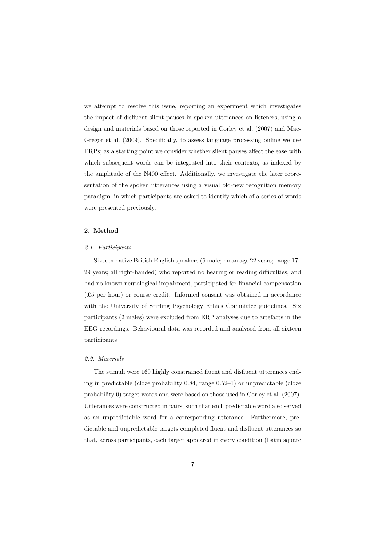we attempt to resolve this issue, reporting an experiment which investigates the impact of disfluent silent pauses in spoken utterances on listeners, using a design and materials based on those reported in Corley et al. (2007) and Mac-Gregor et al. (2009). Specifically, to assess language processing online we use ERPs; as a starting point we consider whether silent pauses affect the ease with which subsequent words can be integrated into their contexts, as indexed by the amplitude of the N400 effect. Additionally, we investigate the later representation of the spoken utterances using a visual old-new recognition memory paradigm, in which participants are asked to identify which of a series of words were presented previously.

# 2. Method

# 2.1. Participants

Sixteen native British English speakers (6 male; mean age 22 years; range 17– 29 years; all right-handed) who reported no hearing or reading difficulties, and had no known neurological impairment, participated for financial compensation (£5 per hour) or course credit. Informed consent was obtained in accordance with the University of Stirling Psychology Ethics Committee guidelines. Six participants (2 males) were excluded from ERP analyses due to artefacts in the EEG recordings. Behavioural data was recorded and analysed from all sixteen participants.

# 2.2. Materials

The stimuli were 160 highly constrained fluent and disfluent utterances ending in predictable (cloze probability 0.84, range 0.52–1) or unpredictable (cloze probability 0) target words and were based on those used in Corley et al. (2007). Utterances were constructed in pairs, such that each predictable word also served as an unpredictable word for a corresponding utterance. Furthermore, predictable and unpredictable targets completed fluent and disfluent utterances so that, across participants, each target appeared in every condition (Latin square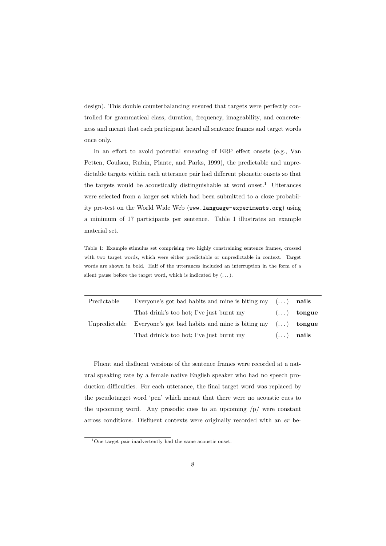design). This double counterbalancing ensured that targets were perfectly controlled for grammatical class, duration, frequency, imageability, and concreteness and meant that each participant heard all sentence frames and target words once only.

In an effort to avoid potential smearing of ERP effect onsets (e.g., Van Petten, Coulson, Rubin, Plante, and Parks, 1999), the predictable and unpredictable targets within each utterance pair had different phonetic onsets so that the targets would be acoustically distinguishable at word onset.<sup>1</sup> Utterances were selected from a larger set which had been submitted to a cloze probability pre-test on the World Wide Web (www.language-experiments.org) using a minimum of 17 participants per sentence. Table 1 illustrates an example material set.

Table 1: Example stimulus set comprising two highly constraining sentence frames, crossed with two target words, which were either predictable or unpredictable in context. Target words are shown in bold. Half of the utterances included an interruption in the form of a silent pause before the target word, which is indicated by  $(\dots)$ .

| Predictable | Everyone's got bad habits and mine is biting my               | $(\ldots)$ | nails       |
|-------------|---------------------------------------------------------------|------------|-------------|
|             | That drink's too hot: I've just burnt my                      |            | $()$ tongue |
|             | Unpredictable Everyone's got bad habits and mine is biting my |            | $()$ tongue |
|             | That drink's too hot; I've just burnt my                      |            | $()$ nails  |

Fluent and disfluent versions of the sentence frames were recorded at a natural speaking rate by a female native English speaker who had no speech production difficulties. For each utterance, the final target word was replaced by the pseudotarget word 'pen' which meant that there were no acoustic cues to the upcoming word. Any prosodic cues to an upcoming  $/p/$  were constant across conditions. Disfluent contexts were originally recorded with an er be-

<sup>1</sup>One target pair inadvertently had the same acoustic onset.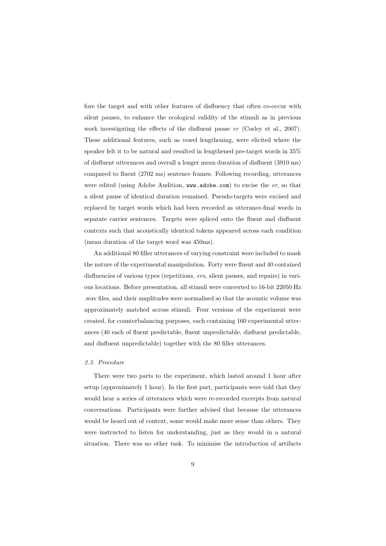fore the target and with other features of disfluency that often co-occur with silent pauses, to enhance the ecological validity of the stimuli as in previous work investigating the effects of the disfluent pause  $er$  (Corley et al., 2007). These additional features, such as vowel lengthening, were elicited where the speaker felt it to be natural and resulted in lengthened pre-target words in 35% of disfluent utterances and overall a longer mean duration of disfluent (3910 ms) compared to fluent (2702 ms) sentence frames. Following recording, utterances were edited (using Adobe Audition, www.adobe.com) to excise the er, so that a silent pause of identical duration remained. Pseudo-targets were excised and replaced by target words which had been recorded as utterance-final words in separate carrier sentences. Targets were spliced onto the fluent and disfluent contexts such that acoustically identical tokens appeared across each condition (mean duration of the target word was 450ms).

An additional 80 filler utterances of varying constraint were included to mask the nature of the experimental manipulation. Forty were fluent and 40 contained disfluencies of various types (repetitions, ers, silent pauses, and repairs) in various locations. Before presentation, all stimuli were converted to 16-bit 22050 Hz .wav files, and their amplitudes were normalised so that the acoustic volume was approximately matched across stimuli. Four versions of the experiment were created, for counterbalancing purposes, each containing 160 experimental utterances (40 each of fluent predictable, fluent unpredictable, disfluent predictable, and disfluent unpredictable) together with the 80 filler utterances.

# 2.3. Procedure

There were two parts to the experiment, which lasted around 1 hour after setup (approximately 1 hour). In the first part, participants were told that they would hear a series of utterances which were re-recorded excerpts from natural conversations. Participants were further advised that because the utterances would be heard out of context, some would make more sense than others. They were instructed to listen for understanding, just as they would in a natural situation. There was no other task. To minimise the introduction of artifacts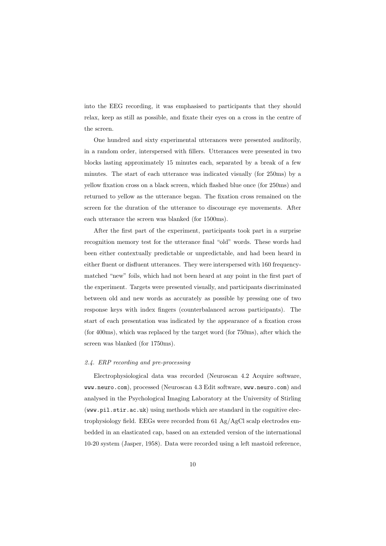into the EEG recording, it was emphasised to participants that they should relax, keep as still as possible, and fixate their eyes on a cross in the centre of the screen.

One hundred and sixty experimental utterances were presented auditorily, in a random order, interspersed with fillers. Utterances were presented in two blocks lasting approximately 15 minutes each, separated by a break of a few minutes. The start of each utterance was indicated visually (for 250ms) by a yellow fixation cross on a black screen, which flashed blue once (for 250ms) and returned to yellow as the utterance began. The fixation cross remained on the screen for the duration of the utterance to discourage eye movements. After each utterance the screen was blanked (for 1500ms).

After the first part of the experiment, participants took part in a surprise recognition memory test for the utterance final "old" words. These words had been either contextually predictable or unpredictable, and had been heard in either fluent or disfluent utterances. They were interspersed with 160 frequencymatched "new" foils, which had not been heard at any point in the first part of the experiment. Targets were presented visually, and participants discriminated between old and new words as accurately as possible by pressing one of two response keys with index fingers (counterbalanced across participants). The start of each presentation was indicated by the appearance of a fixation cross (for 400ms), which was replaced by the target word (for 750ms), after which the screen was blanked (for 1750ms).

# 2.4. ERP recording and pre-processing

Electrophysiological data was recorded (Neuroscan 4.2 Acquire software, www.neuro.com), processed (Neuroscan 4.3 Edit software, www.neuro.com) and analysed in the Psychological Imaging Laboratory at the University of Stirling (www.pil.stir.ac.uk) using methods which are standard in the cognitive electrophysiology field. EEGs were recorded from 61 Ag/AgCl scalp electrodes embedded in an elasticated cap, based on an extended version of the international 10-20 system (Jasper, 1958). Data were recorded using a left mastoid reference,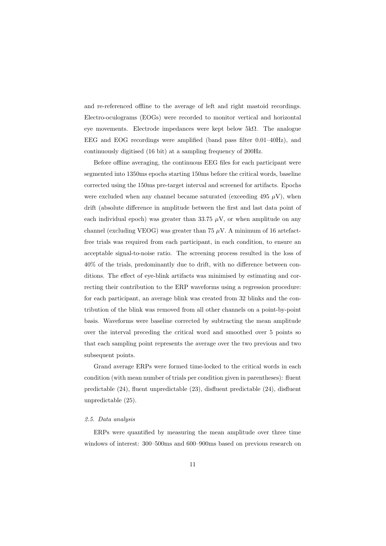and re-referenced offline to the average of left and right mastoid recordings. Electro-oculograms (EOGs) were recorded to monitor vertical and horizontal eye movements. Electrode impedances were kept below  $5k\Omega$ . The analogue EEG and EOG recordings were amplified (band pass filter 0.01–40Hz), and continuously digitised (16 bit) at a sampling frequency of 200Hz.

Before offline averaging, the continuous EEG files for each participant were segmented into 1350ms epochs starting 150ms before the critical words, baseline corrected using the 150ms pre-target interval and screened for artifacts. Epochs were excluded when any channel became saturated (exceeding 495  $\mu$ V), when drift (absolute difference in amplitude between the first and last data point of each individual epoch) was greater than 33.75  $\mu$ V, or when amplitude on any channel (excluding VEOG) was greater than 75  $\mu$ V. A minimum of 16 artefactfree trials was required from each participant, in each condition, to ensure an acceptable signal-to-noise ratio. The screening process resulted in the loss of 40% of the trials, predominantly due to drift, with no difference between conditions. The effect of eye-blink artifacts was minimised by estimating and correcting their contribution to the ERP waveforms using a regression procedure: for each participant, an average blink was created from 32 blinks and the contribution of the blink was removed from all other channels on a point-by-point basis. Waveforms were baseline corrected by subtracting the mean amplitude over the interval preceding the critical word and smoothed over 5 points so that each sampling point represents the average over the two previous and two subsequent points.

Grand average ERPs were formed time-locked to the critical words in each condition (with mean number of trials per condition given in parentheses): fluent predictable (24), fluent unpredictable (23), disfluent predictable (24), disfluent unpredictable (25).

## 2.5. Data analysis

ERPs were quantified by measuring the mean amplitude over three time windows of interest: 300–500ms and 600–900ms based on previous research on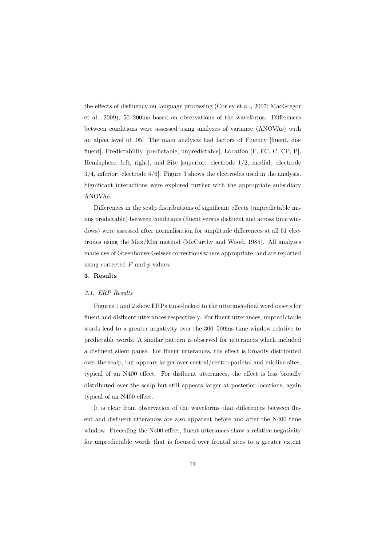the effects of disfluency on language processing (Corley et al., 2007; MacGregor et al., 2009); 50–200ms based on observations of the waveforms. Differences between conditions were assessed using analyses of variance (ANOVAs) with an alpha level of .05. The main analyses had factors of Fluency [fluent, disfluent], Predictability [predictable, unpredictable], Location [F, FC, C, CP, P], Hemisphere [left, right], and Site [superior: electrode 1/2, medial: electrode 3/4, inferior: electrode 5/6]. Figure 3 shows the electrodes used in the analysis. Significant interactions were explored further with the appropriate subsidiary ANOVAs.

Differences in the scalp distributions of significant effects (unpredictable minus predictable) between conditions (fluent versus disfluent and across time windows) were assessed after normalisation for amplitude differences at all 61 electrodes using the Max/Min method (McCarthy and Wood, 1985). All analyses made use of Greenhouse-Geisser corrections where appropriate, and are reported using corrected  $F$  and  $p$  values.

# 3. Results

## 3.1. ERP Results

Figures 1 and 2 show ERPs time-locked to the utterance-final word onsets for fluent and disfluent utterances respectively. For fluent utterances, unpredictable words lead to a greater negativity over the 300–500ms time window relative to predictable words. A similar pattern is observed for utterances which included a disfluent silent pause. For fluent utterances, the effect is broadly distributed over the scalp, but appears larger over central/centro-parietal and midline sites, typical of an N400 effect. For disfluent utterances, the effect is less broadly distributed over the scalp but still appears larger at posterior locations, again typical of an N400 effect.

It is clear from observation of the waveforms that differences between fluent and disfluent utterances are also apparent before and after the N400 time window. Preceding the N400 effect, fluent utterances show a relative negativity for unpredictable words that is focused over frontal sites to a greater extent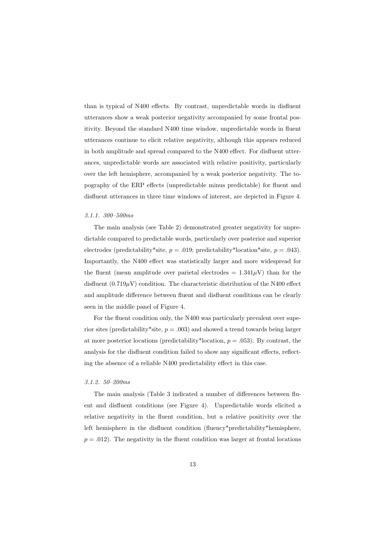than is typical of N400 effects. By contrast, unpredictable words in disfluent utterances show a weak posterior negativity accompanied by some frontal positivity. Beyond the standard N400 time window, unpredictable words in fluent utterances continue to elicit relative negativity, although this appears reduced in both amplitude and spread compared to the N400 effect. For disfluent utterances, unpredictable words are associated with relative positivity, particularly over the left hemisphere, accompanied by a weak posterior negativity. The topography of the ERP effects (unpredictable minus predictable) for fluent and disfluent utterances in three time windows of interest, are depicted in Figure 4.

# 3.1.1. 300–500ms

The main analysis (see Table 2) demonstrated greater negativity for unpredictable compared to predictable words, particularly over posterior and superior electrodes (predictability\*site,  $p = .019$ ; predictability\*location\*site,  $p = .043$ ). Importantly, the N400 effect was statistically larger and more widespread for the fluent (mean amplitude over parietal electrodes  $= 1.341 \mu V$ ) than for the disfluent  $(0.719\mu\text{V})$  condition. The characteristic distribution of the N400 effect and amplitude difference between fluent and disfluent conditions can be clearly seen in the middle panel of Figure 4.

For the fluent condition only, the N400 was particularly prevalent over superior sites (predictability\*site,  $p = .003$ ) and showed a trend towards being larger at more posterior locations (predictability\*location,  $p = .053$ ). By contrast, the analysis for the disfluent condition failed to show any significant effects, reflecting the absence of a reliable N400 predictability effect in this case.

## 3.1.2. 50–200ms

The main analysis (Table 3 indicated a number of differences between fluent and disfluent conditions (see Figure 4). Unpredictable words elicited a relative negativity in the fluent condition, but a relative positivity over the left hemisphere in the disfluent condition (fluency\*predictability\*hemisphere,  $p = .012$ ). The negativity in the fluent condition was larger at frontal locations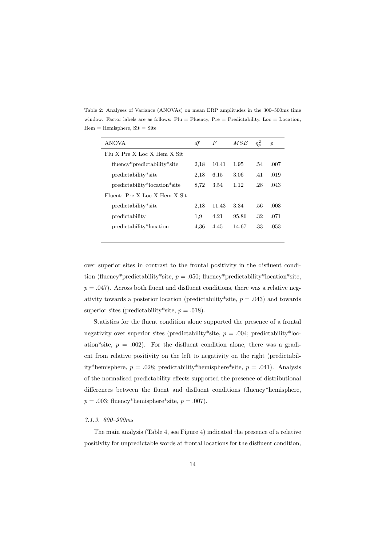Table 2: Analyses of Variance (ANOVAs) on mean ERP amplitudes in the 300–500ms time window. Factor labels are as follows:  $Flu = Fluency$ ,  $Pre = Predictability$ ,  $Loc = Location$ ,  $Hem = Hemisphere, Sit = Site$ 

| <b>ANOVA</b>                     | df   | F     | MSE   | $\eta_p^2$ | $\boldsymbol{p}$ |
|----------------------------------|------|-------|-------|------------|------------------|
| Flu X Pre X Loc X Hem X Sit      |      |       |       |            |                  |
| fluency*predictability*site      | 2.18 | 10.41 | 1.95  | .54        | .007             |
| predictability*site              | 2.18 | 6.15  | 3.06  | .41        | .019             |
| predictability*location*site     | 8,72 | 3.54  | 1.12  | .28        | .043             |
| Fluent: Pre X Loc X Hem X Sit    |      |       |       |            |                  |
| predictability <sup>*</sup> site | 2.18 | 11.43 | 3.34  | .56        | .003             |
| predictability                   | 1.9  | 4.21  | 95.86 | .32        | .071             |
| predictability*location          | 4.36 | 4.45  | 14.67 | .33        | .053             |
|                                  |      |       |       |            |                  |

over superior sites in contrast to the frontal positivity in the disfluent condition (fluency\*predictability\*site,  $p = .050$ ; fluency\*predictability\*location\*site,  $p = .047$ ). Across both fluent and disfluent conditions, there was a relative negativity towards a posterior location (predictability\*site,  $p = .043$ ) and towards superior sites (predictability\*site,  $p = .018$ ).

Statistics for the fluent condition alone supported the presence of a frontal negativity over superior sites (predictability\*site,  $p = .004$ ; predictability\*location\*site,  $p = .002$ ). For the disfluent condition alone, there was a gradient from relative positivity on the left to negativity on the right (predictability\*hemisphere,  $p = .028$ ; predictability\*hemisphere\*site,  $p = .041$ ). Analysis of the normalised predictability effects supported the presence of distributional differences between the fluent and disfluent conditions (fluency\*hemisphere,  $p = .003$ ; fluency\*hemisphere\*site,  $p = .007$ ).

#### 3.1.3. 600–900ms

The main analysis (Table 4, see Figure 4) indicated the presence of a relative positivity for unpredictable words at frontal locations for the disfluent condition,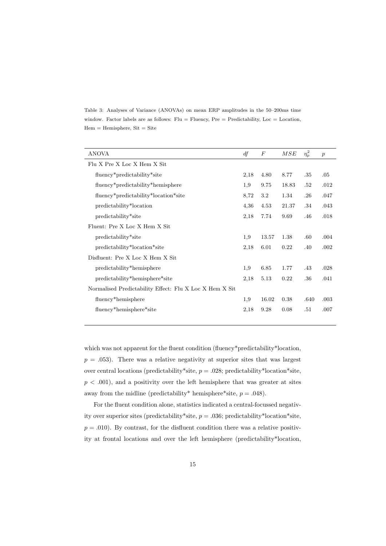Table 3: Analyses of Variance (ANOVAs) on mean ERP amplitudes in the 50–200ms time window. Factor labels are as follows:  $Flu = Fluency$ ,  $Pre = Predictability$ ,  $Loc = Location$ ,  $Hem = Hemisphere, Sit = Site$ 

| <b>ANOVA</b>                                            | df   | $\overline{F}$ | MSE   | $\eta_p^2$ | $\boldsymbol{p}$ |
|---------------------------------------------------------|------|----------------|-------|------------|------------------|
| Flu X Pre X Loc X Hem X Sit                             |      |                |       |            |                  |
| fluency*predictability*site                             | 2,18 | 4.80           | 8.77  | .35        | .05              |
| fluency*predictability*hemisphere                       | 1,9  | 9.75           | 18.83 | .52        | .012             |
| fluency*predictability*location*site                    | 8,72 | 3.2            | 1.34  | .26        | .047             |
| predictability <sup>*</sup> location                    |      | 4.53           | 21.37 | .34        | .043             |
| predictability*site                                     | 2,18 | 7.74           | 9.69  | .46        | .018             |
| Fluent: Pre X Loc X Hem X Sit                           |      |                |       |            |                  |
| predictability*site                                     | 1,9  | 13.57          | 1.38  | $.60\,$    | .004             |
| predictability*location*site                            |      | 6.01           | 0.22  | .40        | .002             |
| Disfluent: Pre X Loc X Hem X Sit                        |      |                |       |            |                  |
| predictability*hemisphere                               | 1,9  | 6.85           | 1.77  | .43        | .028             |
| predictability*hemisphere*site                          |      | 5.13           | 0.22  | .36        | .041             |
| Normalised Predictability Effect: Flu X Loc X Hem X Sit |      |                |       |            |                  |
| fluency*hemisphere                                      |      | 16.02          | 0.38  | .640       | .003             |
| fluency*hemisphere*site                                 |      | 9.28           | 0.08  | .51        | .007             |
|                                                         |      |                |       |            |                  |

which was not apparent for the fluent condition (fluency\*predictability\*location,  $p = .053$ . There was a relative negativity at superior sites that was largest over central locations (predictability\*site,  $p = .028$ ; predictability\*location\*site,  $p < .001$ ), and a positivity over the left hemisphere that was greater at sites away from the midline (predictability\* hemisphere\*site,  $p = .048$ ).

For the fluent condition alone, statistics indicated a central-focussed negativity over superior sites (predictability\*site,  $p = .036$ ; predictability\*location\*site,  $p = .010$ ). By contrast, for the disfluent condition there was a relative positivity at frontal locations and over the left hemisphere (predictability\*location,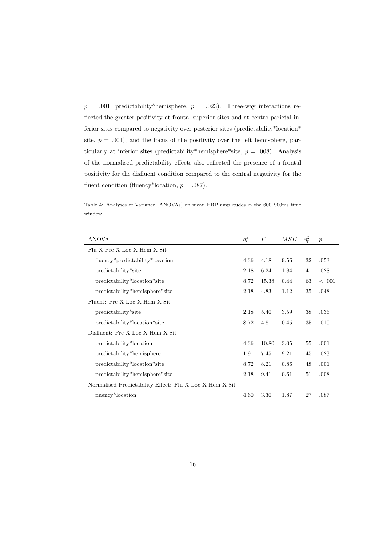$p = .001$ ; predictability\*hemisphere,  $p = .023$ ). Three-way interactions reflected the greater positivity at frontal superior sites and at centro-parietal inferior sites compared to negativity over posterior sites (predictability\*location\* site,  $p = .001$ ), and the focus of the positivity over the left hemisphere, particularly at inferior sites (predictability\*hemisphere\*site,  $p = .008$ ). Analysis of the normalised predictability effects also reflected the presence of a frontal positivity for the disfluent condition compared to the central negativity for the fluent condition (fluency\*location,  $p = .087$ ).

Table 4: Analyses of Variance (ANOVAs) on mean ERP amplitudes in the 600–900ms time window.

| <b>ANOVA</b>                                              | df   | $\,F$ | MSE  | $\eta_p^2$ | $\boldsymbol{p}$ |
|-----------------------------------------------------------|------|-------|------|------------|------------------|
| Flu X Pre X Loc X Hem X Sit                               |      |       |      |            |                  |
| fluency <sup>*</sup> predictability <sup>*</sup> location | 4.36 | 4.18  | 9.56 | .32        | .053             |
| predictability <sup>*</sup> site                          | 2,18 | 6.24  | 1.84 | .41        | .028             |
| predictability*location*site                              | 8,72 | 15.38 | 0.44 | .63        | < .001           |
| predictability*hemisphere*site                            | 2,18 | 4.83  | 1.12 | .35        | .048             |
| Fluent: Pre X Loc X Hem X Sit                             |      |       |      |            |                  |
| predictability <sup>*</sup> site                          | 2,18 | 5.40  | 3.59 | .38        | .036             |
| predictability*location*site                              | 8,72 | 4.81  | 0.45 | .35        | .010             |
| Disfluent: Pre X Loc X Hem X Sit                          |      |       |      |            |                  |
| predictability <sup>*</sup> location                      | 4,36 | 10.80 | 3.05 | .55        | .001             |
| predictability*hemisphere                                 | 1,9  | 7.45  | 9.21 | .45        | .023             |
| predictability*location*site                              | 8,72 | 8.21  | 0.86 | .48        | .001             |
| predictability*hemisphere*site                            | 2,18 | 9.41  | 0.61 | .51        | .008             |
| Normalised Predictability Effect: Flu X Loc X Hem X Sit   |      |       |      |            |                  |
| fluency*location                                          |      | 3.30  | 1.87 | .27        | .087             |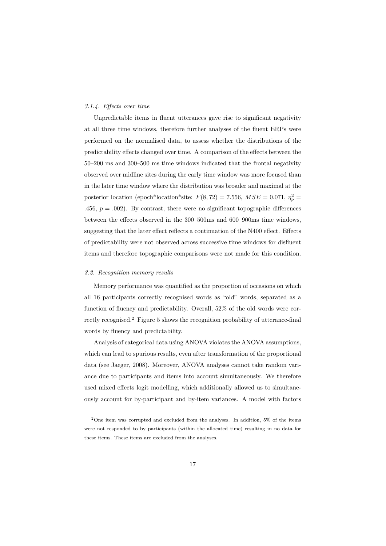# 3.1.4. Effects over time

Unpredictable items in fluent utterances gave rise to significant negativity at all three time windows, therefore further analyses of the fluent ERPs were performed on the normalised data, to assess whether the distributions of the predictability effects changed over time. A comparison of the effects between the 50–200 ms and 300–500 ms time windows indicated that the frontal negativity observed over midline sites during the early time window was more focused than in the later time window where the distribution was broader and maximal at the posterior location (epoch\*location\*site:  $F(8, 72) = 7.556$ ,  $MSE = 0.071$ ,  $\eta_p^2 =$ .456,  $p = .002$ ). By contrast, there were no significant topographic differences between the effects observed in the 300–500ms and 600–900ms time windows, suggesting that the later effect reflects a continuation of the N400 effect. Effects of predictability were not observed across successive time windows for disfluent items and therefore topographic comparisons were not made for this condition.

#### 3.2. Recognition memory results

Memory performance was quantified as the proportion of occasions on which all 16 participants correctly recognised words as "old" words, separated as a function of fluency and predictability. Overall, 52% of the old words were correctly recognised.<sup>2</sup> Figure 5 shows the recognition probability of utterance-final words by fluency and predictability.

Analysis of categorical data using ANOVA violates the ANOVA assumptions, which can lead to spurious results, even after transformation of the proportional data (see Jaeger, 2008). Moreover, ANOVA analyses cannot take random variance due to participants and items into account simultaneously. We therefore used mixed effects logit modelling, which additionally allowed us to simultaneously account for by-participant and by-item variances. A model with factors

<sup>2</sup>One item was corrupted and excluded from the analyses. In addition, 5% of the items were not responded to by participants (within the allocated time) resulting in no data for these items. These items are excluded from the analyses.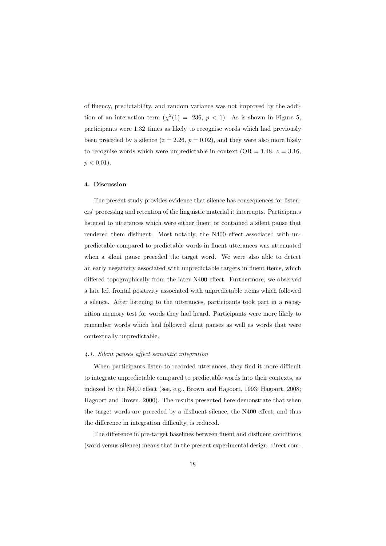of fluency, predictability, and random variance was not improved by the addition of an interaction term  $(\chi^2(1) = .236, p < 1)$ . As is shown in Figure 5, participants were 1.32 times as likely to recognise words which had previously been preceded by a silence  $(z = 2.26, p = 0.02)$ , and they were also more likely to recognise words which were unpredictable in context ( $OR = 1.48$ ,  $z = 3.16$ ,  $p < 0.01$ ).

## 4. Discussion

The present study provides evidence that silence has consequences for listeners' processing and retention of the linguistic material it interrupts. Participants listened to utterances which were either fluent or contained a silent pause that rendered them disfluent. Most notably, the N400 effect associated with unpredictable compared to predictable words in fluent utterances was attenuated when a silent pause preceded the target word. We were also able to detect an early negativity associated with unpredictable targets in fluent items, which differed topographically from the later N400 effect. Furthermore, we observed a late left frontal positivity associated with unpredictable items which followed a silence. After listening to the utterances, participants took part in a recognition memory test for words they had heard. Participants were more likely to remember words which had followed silent pauses as well as words that were contextually unpredictable.

#### 4.1. Silent pauses affect semantic integration

When participants listen to recorded utterances, they find it more difficult to integrate unpredictable compared to predictable words into their contexts, as indexed by the N400 effect (see, e.g., Brown and Hagoort, 1993; Hagoort, 2008; Hagoort and Brown, 2000). The results presented here demonstrate that when the target words are preceded by a disfluent silence, the N400 effect, and thus the difference in integration difficulty, is reduced.

The difference in pre-target baselines between fluent and disfluent conditions (word versus silence) means that in the present experimental design, direct com-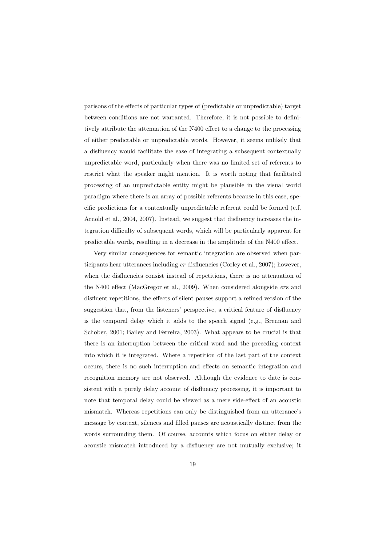parisons of the effects of particular types of (predictable or unpredictable) target between conditions are not warranted. Therefore, it is not possible to definitively attribute the attenuation of the N400 effect to a change to the processing of either predictable or unpredictable words. However, it seems unlikely that a disfluency would facilitate the ease of integrating a subsequent contextually unpredictable word, particularly when there was no limited set of referents to restrict what the speaker might mention. It is worth noting that facilitated processing of an unpredictable entity might be plausible in the visual world paradigm where there is an array of possible referents because in this case, specific predictions for a contextually unpredictable referent could be formed (c.f. Arnold et al., 2004, 2007). Instead, we suggest that disfluency increases the integration difficulty of subsequent words, which will be particularly apparent for predictable words, resulting in a decrease in the amplitude of the N400 effect.

Very similar consequences for semantic integration are observed when participants hear utterances including er disfluencies (Corley et al., 2007); however, when the disfluencies consist instead of repetitions, there is no attenuation of the N400 effect (MacGregor et al., 2009). When considered alongside ers and disfluent repetitions, the effects of silent pauses support a refined version of the suggestion that, from the listeners' perspective, a critical feature of disfluency is the temporal delay which it adds to the speech signal (e.g., Brennan and Schober, 2001; Bailey and Ferreira, 2003). What appears to be crucial is that there is an interruption between the critical word and the preceding context into which it is integrated. Where a repetition of the last part of the context occurs, there is no such interruption and effects on semantic integration and recognition memory are not observed. Although the evidence to date is consistent with a purely delay account of disfluency processing, it is important to note that temporal delay could be viewed as a mere side-effect of an acoustic mismatch. Whereas repetitions can only be distinguished from an utterance's message by context, silences and filled pauses are acoustically distinct from the words surrounding them. Of course, accounts which focus on either delay or acoustic mismatch introduced by a disfluency are not mutually exclusive; it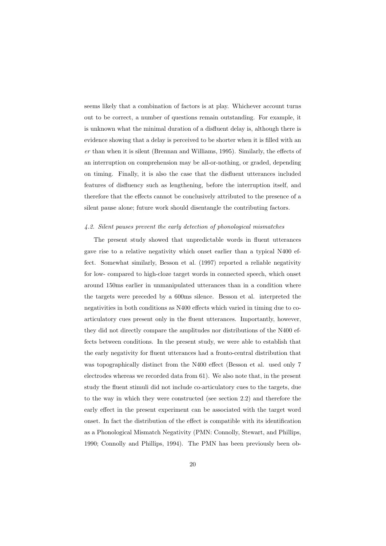seems likely that a combination of factors is at play. Whichever account turns out to be correct, a number of questions remain outstanding. For example, it is unknown what the minimal duration of a disfluent delay is, although there is evidence showing that a delay is perceived to be shorter when it is filled with an er than when it is silent (Brennan and Williams, 1995). Similarly, the effects of an interruption on comprehension may be all-or-nothing, or graded, depending on timing. Finally, it is also the case that the disfluent utterances included features of disfluency such as lengthening, before the interruption itself, and therefore that the effects cannot be conclusively attributed to the presence of a silent pause alone; future work should disentangle the contributing factors.

#### 4.2. Silent pauses prevent the early detection of phonological mismatches

The present study showed that unpredictable words in fluent utterances gave rise to a relative negativity which onset earlier than a typical N400 effect. Somewhat similarly, Besson et al. (1997) reported a reliable negativity for low- compared to high-cloze target words in connected speech, which onset around 150ms earlier in unmanipulated utterances than in a condition where the targets were preceded by a 600ms silence. Besson et al. interpreted the negativities in both conditions as N400 effects which varied in timing due to coarticulatory cues present only in the fluent utterances. Importantly, however, they did not directly compare the amplitudes nor distributions of the N400 effects between conditions. In the present study, we were able to establish that the early negativity for fluent utterances had a fronto-central distribution that was topographically distinct from the N400 effect (Besson et al. used only 7 electrodes whereas we recorded data from 61). We also note that, in the present study the fluent stimuli did not include co-articulatory cues to the targets, due to the way in which they were constructed (see section 2.2) and therefore the early effect in the present experiment can be associated with the target word onset. In fact the distribution of the effect is compatible with its identification as a Phonological Mismatch Negativity (PMN: Connolly, Stewart, and Phillips, 1990; Connolly and Phillips, 1994). The PMN has been previously been ob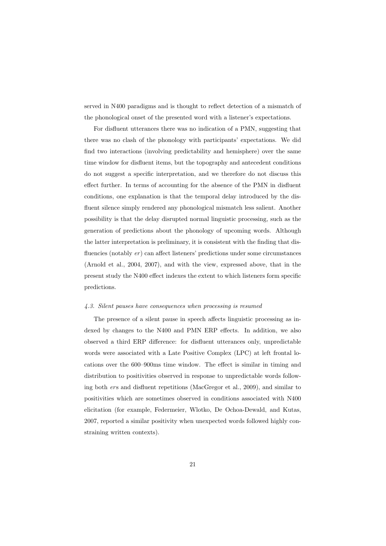served in N400 paradigms and is thought to reflect detection of a mismatch of the phonological onset of the presented word with a listener's expectations.

For disfluent utterances there was no indication of a PMN, suggesting that there was no clash of the phonology with participants' expectations. We did find two interactions (involving predictability and hemisphere) over the same time window for disfluent items, but the topography and antecedent conditions do not suggest a specific interpretation, and we therefore do not discuss this effect further. In terms of accounting for the absence of the PMN in disfluent conditions, one explanation is that the temporal delay introduced by the disfluent silence simply rendered any phonological mismatch less salient. Another possibility is that the delay disrupted normal linguistic processing, such as the generation of predictions about the phonology of upcoming words. Although the latter interpretation is preliminary, it is consistent with the finding that disfluencies (notably  $er$ ) can affect listeners' predictions under some circumstances (Arnold et al., 2004, 2007), and with the view, expressed above, that in the present study the N400 effect indexes the extent to which listeners form specific predictions.

## 4.3. Silent pauses have consequences when processing is resumed

The presence of a silent pause in speech affects linguistic processing as indexed by changes to the N400 and PMN ERP effects. In addition, we also observed a third ERP difference: for disfluent utterances only, unpredictable words were associated with a Late Positive Complex (LPC) at left frontal locations over the 600–900ms time window. The effect is similar in timing and distribution to positivities observed in response to unpredictable words following both ers and disfluent repetitions (MacGregor et al., 2009), and similar to positivities which are sometimes observed in conditions associated with N400 elicitation (for example, Federmeier, Wlotko, De Ochoa-Dewald, and Kutas, 2007, reported a similar positivity when unexpected words followed highly constraining written contexts).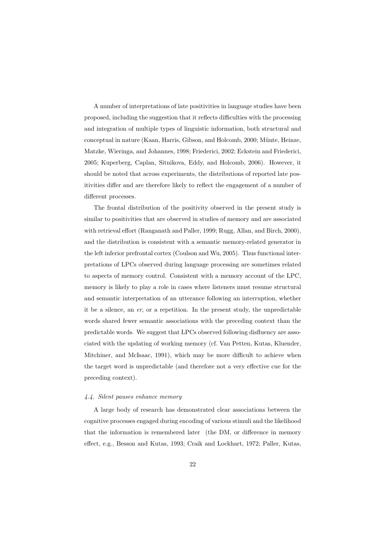A number of interpretations of late positivities in language studies have been proposed, including the suggestion that it reflects difficulties with the processing and integration of multiple types of linguistic information, both structural and conceptual in nature (Kaan, Harris, Gibson, and Holcomb, 2000; Münte, Heinze, Matzke, Wieringa, and Johannes, 1998; Friederici, 2002; Eckstein and Friederici, 2005; Kuperberg, Caplan, Sitnikova, Eddy, and Holcomb, 2006). However, it should be noted that across experiments, the distributions of reported late positivities differ and are therefore likely to reflect the engagement of a number of different processes.

The frontal distribution of the positivity observed in the present study is similar to positivities that are observed in studies of memory and are associated with retrieval effort (Ranganath and Paller, 1999; Rugg, Allan, and Birch, 2000), and the distribution is consistent with a semantic memory-related generator in the left inferior prefrontal cortex (Coulson and Wu, 2005). Thus functional interpretations of LPCs observed during language processing are sometimes related to aspects of memory control. Consistent with a memory account of the LPC, memory is likely to play a role in cases where listeners must resume structural and semantic interpretation of an utterance following an interruption, whether it be a silence, an  $er$ , or a repetition. In the present study, the unpredictable words shared fewer semantic associations with the preceding context than the predictable words. We suggest that LPCs observed following disfluency are associated with the updating of working memory (cf. Van Petten, Kutas, Kluender, Mitchiner, and McIsaac, 1991), which may be more difficult to achieve when the target word is unpredictable (and therefore not a very effective cue for the preceding context).

# 4.4. Silent pauses enhance memory

A large body of research has demonstrated clear associations between the cognitive processes engaged during encoding of various stimuli and the likelihood that the information is remembered later (the DM, or difference in memory effect, e.g., Besson and Kutas, 1993; Craik and Lockhart, 1972; Paller, Kutas,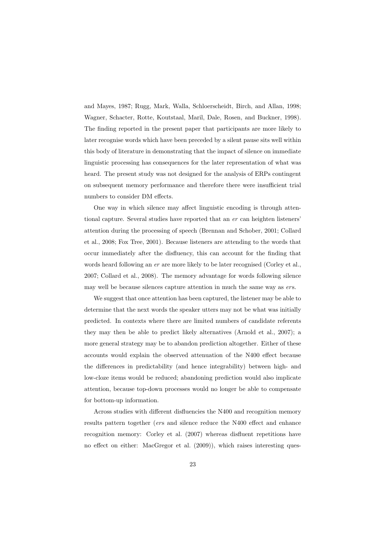and Mayes, 1987; Rugg, Mark, Walla, Schloerscheidt, Birch, and Allan, 1998; Wagner, Schacter, Rotte, Koutstaal, Maril, Dale, Rosen, and Buckner, 1998). The finding reported in the present paper that participants are more likely to later recognise words which have been preceded by a silent pause sits well within this body of literature in demonstrating that the impact of silence on immediate linguistic processing has consequences for the later representation of what was heard. The present study was not designed for the analysis of ERPs contingent on subsequent memory performance and therefore there were insufficient trial numbers to consider DM effects.

One way in which silence may affect linguistic encoding is through attentional capture. Several studies have reported that an er can heighten listeners' attention during the processing of speech (Brennan and Schober, 2001; Collard et al., 2008; Fox Tree, 2001). Because listeners are attending to the words that occur immediately after the disfluency, this can account for the finding that words heard following an er are more likely to be later recognised (Corley et al., 2007; Collard et al., 2008). The memory advantage for words following silence may well be because silences capture attention in much the same way as ers.

We suggest that once attention has been captured, the listener may be able to determine that the next words the speaker utters may not be what was initially predicted. In contexts where there are limited numbers of candidate referents they may then be able to predict likely alternatives (Arnold et al., 2007); a more general strategy may be to abandon prediction altogether. Either of these accounts would explain the observed attenuation of the N400 effect because the differences in predictability (and hence integrability) between high- and low-cloze items would be reduced; abandoning prediction would also implicate attention, because top-down processes would no longer be able to compensate for bottom-up information.

Across studies with different disfluencies the N400 and recognition memory results pattern together (ers and silence reduce the N400 effect and enhance recognition memory: Corley et al. (2007) whereas disfluent repetitions have no effect on either: MacGregor et al. (2009)), which raises interesting ques-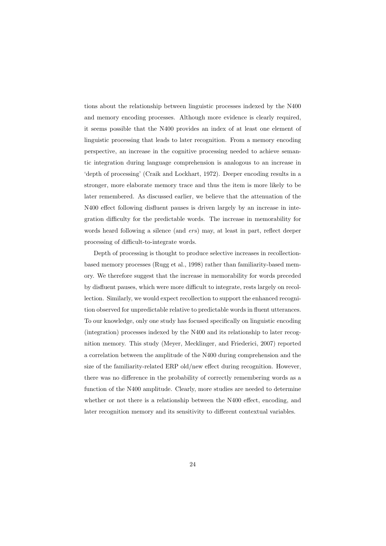tions about the relationship between linguistic processes indexed by the N400 and memory encoding processes. Although more evidence is clearly required, it seems possible that the N400 provides an index of at least one element of linguistic processing that leads to later recognition. From a memory encoding perspective, an increase in the cognitive processing needed to achieve semantic integration during language comprehension is analogous to an increase in 'depth of processing' (Craik and Lockhart, 1972). Deeper encoding results in a stronger, more elaborate memory trace and thus the item is more likely to be later remembered. As discussed earlier, we believe that the attenuation of the N400 effect following disfluent pauses is driven largely by an increase in integration difficulty for the predictable words. The increase in memorability for words heard following a silence (and ers) may, at least in part, reflect deeper processing of difficult-to-integrate words.

Depth of processing is thought to produce selective increases in recollectionbased memory processes (Rugg et al., 1998) rather than familiarity-based memory. We therefore suggest that the increase in memorability for words preceded by disfluent pauses, which were more difficult to integrate, rests largely on recollection. Similarly, we would expect recollection to support the enhanced recognition observed for unpredictable relative to predictable words in fluent utterances. To our knowledge, only one study has focused specifically on linguistic encoding (integration) processes indexed by the N400 and its relationship to later recognition memory. This study (Meyer, Mecklinger, and Friederici, 2007) reported a correlation between the amplitude of the N400 during comprehension and the size of the familiarity-related ERP old/new effect during recognition. However, there was no difference in the probability of correctly remembering words as a function of the N400 amplitude. Clearly, more studies are needed to determine whether or not there is a relationship between the N400 effect, encoding, and later recognition memory and its sensitivity to different contextual variables.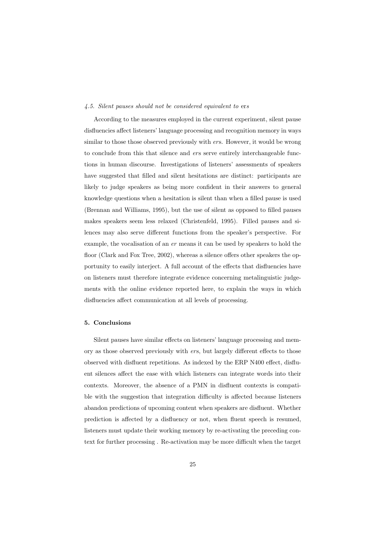## 4.5. Silent pauses should not be considered equivalent to ers

According to the measures employed in the current experiment, silent pause disfluencies affect listeners' language processing and recognition memory in ways similar to those those observed previously with ers. However, it would be wrong to conclude from this that silence and *ers* serve entirely interchangeable functions in human discourse. Investigations of listeners' assessments of speakers have suggested that filled and silent hesitations are distinct: participants are likely to judge speakers as being more confident in their answers to general knowledge questions when a hesitation is silent than when a filled pause is used (Brennan and Williams, 1995), but the use of silent as opposed to filled pauses makes speakers seem less relaxed (Christenfeld, 1995). Filled pauses and silences may also serve different functions from the speaker's perspective. For example, the vocalisation of an er means it can be used by speakers to hold the floor (Clark and Fox Tree, 2002), whereas a silence offers other speakers the opportunity to easily interject. A full account of the effects that disfluencies have on listeners must therefore integrate evidence concerning metalinguistic judgements with the online evidence reported here, to explain the ways in which disfluencies affect communication at all levels of processing.

# 5. Conclusions

Silent pauses have similar effects on listeners' language processing and memory as those observed previously with ers, but largely different effects to those observed with disfluent repetitions. As indexed by the ERP N400 effect, disfluent silences affect the ease with which listeners can integrate words into their contexts. Moreover, the absence of a PMN in disfluent contexts is compatible with the suggestion that integration difficulty is affected because listeners abandon predictions of upcoming content when speakers are disfluent. Whether prediction is affected by a disfluency or not, when fluent speech is resumed, listeners must update their working memory by re-activating the preceding context for further processing . Re-activation may be more difficult when the target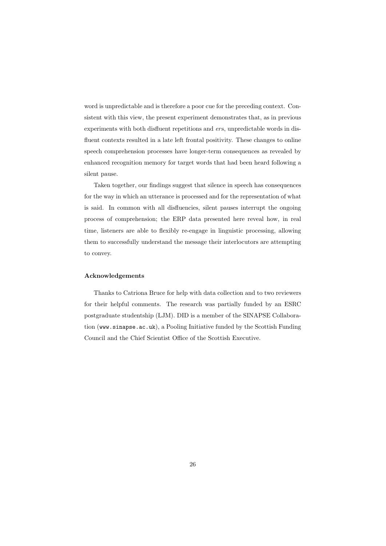word is unpredictable and is therefore a poor cue for the preceding context. Consistent with this view, the present experiment demonstrates that, as in previous experiments with both disfluent repetitions and ers, unpredictable words in disfluent contexts resulted in a late left frontal positivity. These changes to online speech comprehension processes have longer-term consequences as revealed by enhanced recognition memory for target words that had been heard following a silent pause.

Taken together, our findings suggest that silence in speech has consequences for the way in which an utterance is processed and for the representation of what is said. In common with all disfluencies, silent pauses interrupt the ongoing process of comprehension; the ERP data presented here reveal how, in real time, listeners are able to flexibly re-engage in linguistic processing, allowing them to successfully understand the message their interlocutors are attempting to convey.

## Acknowledgements

Thanks to Catriona Bruce for help with data collection and to two reviewers for their helpful comments. The research was partially funded by an ESRC postgraduate studentship (LJM). DID is a member of the SINAPSE Collaboration (www.sinapse.ac.uk), a Pooling Initiative funded by the Scottish Funding Council and the Chief Scientist Office of the Scottish Executive.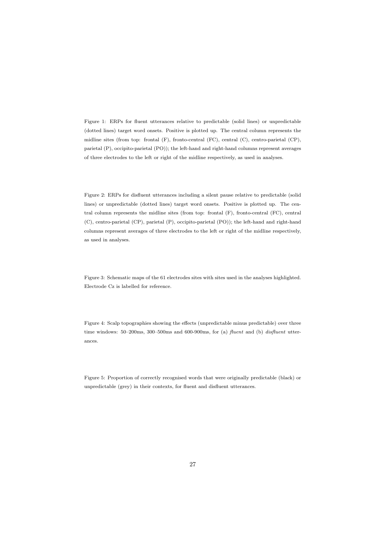Figure 1: ERPs for fluent utterances relative to predictable (solid lines) or unpredictable (dotted lines) target word onsets. Positive is plotted up. The central column represents the midline sites (from top: frontal (F), fronto-central (FC), central (C), centro-parietal (CP), parietal (P), occipito-parietal (PO)); the left-hand and right-hand columns represent averages of three electrodes to the left or right of the midline respectively, as used in analyses.

Figure 2: ERPs for disfluent utterances including a silent pause relative to predictable (solid lines) or unpredictable (dotted lines) target word onsets. Positive is plotted up. The central column represents the midline sites (from top: frontal (F), fronto-central (FC), central (C), centro-parietal (CP), parietal (P), occipito-parietal (PO)); the left-hand and right-hand columns represent averages of three electrodes to the left or right of the midline respectively, as used in analyses.

Figure 3: Schematic maps of the 61 electrodes sites with sites used in the analyses highlighted. Electrode Cz is labelled for reference.

Figure 4: Scalp topographies showing the effects (unpredictable minus predictable) over three time windows: 50–200ms, 300–500ms and 600-900ms, for (a) fluent and (b) disfluent utterances.

Figure 5: Proportion of correctly recognised words that were originally predictable (black) or unpredictable (grey) in their contexts, for fluent and disfluent utterances.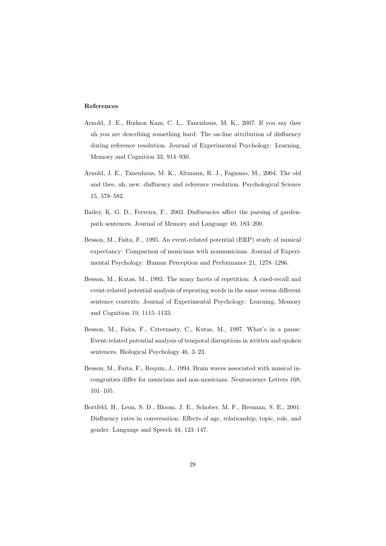# References

- Arnold, J. E., Hudson Kam, C. L., Tanenhaus, M. K., 2007. If you say thee uh you are describing something hard: The on-line attribution of disfluency during reference resolution. Journal of Experimental Psychology: Learning, Memory and Cognition 33, 914–930.
- Arnold, J. E., Tanenhaus, M. K., Altmann, R. J., Fagnano, M., 2004. The old and thee, uh, new. disfluency and reference resolution. Psychological Science 15, 578–582.
- Bailey, K. G. D., Ferreira, F., 2003. Disfluencies affect the parsing of gardenpath sentences. Journal of Memory and Language 49, 183–200.
- Besson, M., Faita, F., 1995. An event-related potential (ERP) study of musical expectancy: Comparison of musicians with nonmusicians. Journal of Experimental Psychology: Human Perception and Performance 21, 1278–1296.
- Besson, M., Kutas, M., 1993. The many facets of repetition: A cued-recall and event-related potential analysis of repeating words in the same versus different sentence contexts. Journal of Experimental Psychology: Learning, Memory and Cognition 19, 1115–1133.
- Besson, M., Faita, F., Czternasty, C., Kutas, M., 1997. What's in a pause: Event-related potential analysis of temporal disruptions in written and spoken sentences. Biological Psychology 46, 3–23.
- Besson, M., Faita, F., Requin, J., 1994. Brain waves associated with musical incongruities differ for musicians and non-musicians. Neuroscience Letters 168, 101–105.
- Bortfeld, H., Leon, S. D., Bloom, J. E., Schober, M. F., Brennan, S. E., 2001. Disfluency rates in conversation: Effects of age, relationship, topic, role, and gender. Language and Speech 44, 123–147.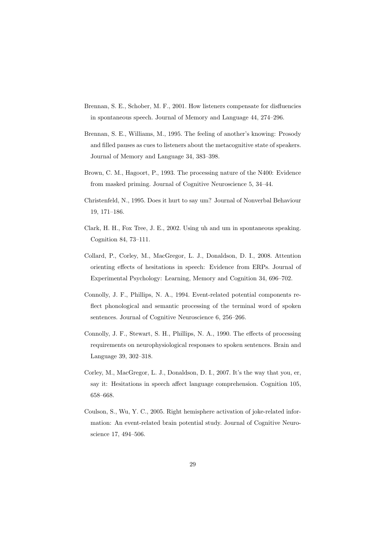- Brennan, S. E., Schober, M. F., 2001. How listeners compensate for disfluencies in spontaneous speech. Journal of Memory and Language 44, 274–296.
- Brennan, S. E., Williams, M., 1995. The feeling of another's knowing: Prosody and filled pauses as cues to listeners about the metacognitive state of speakers. Journal of Memory and Language 34, 383–398.
- Brown, C. M., Hagoort, P., 1993. The processing nature of the N400: Evidence from masked priming. Journal of Cognitive Neuroscience 5, 34–44.
- Christenfeld, N., 1995. Does it hurt to say um? Journal of Nonverbal Behaviour 19, 171–186.
- Clark, H. H., Fox Tree, J. E., 2002. Using uh and um in spontaneous speaking. Cognition 84, 73–111.
- Collard, P., Corley, M., MacGregor, L. J., Donaldson, D. I., 2008. Attention orienting effects of hesitations in speech: Evidence from ERPs. Journal of Experimental Psychology: Learning, Memory and Cognition 34, 696–702.
- Connolly, J. F., Phillips, N. A., 1994. Event-related potential components reflect phonological and semantic processing of the terminal word of spoken sentences. Journal of Cognitive Neuroscience 6, 256–266.
- Connolly, J. F., Stewart, S. H., Phillips, N. A., 1990. The effects of processing requirements on neurophysiological responses to spoken sentences. Brain and Language 39, 302–318.
- Corley, M., MacGregor, L. J., Donaldson, D. I., 2007. It's the way that you, er, say it: Hesitations in speech affect language comprehension. Cognition 105, 658–668.
- Coulson, S., Wu, Y. C., 2005. Right hemisphere activation of joke-related information: An event-related brain potential study. Journal of Cognitive Neuroscience 17, 494–506.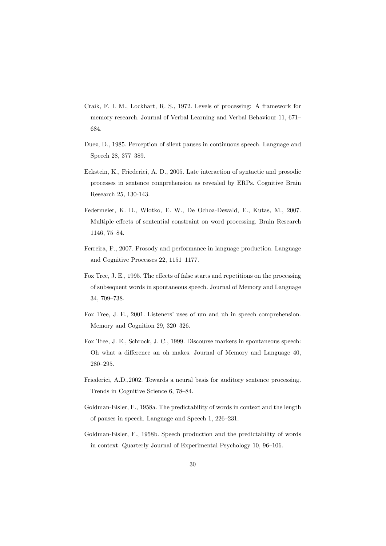- Craik, F. I. M., Lockhart, R. S., 1972. Levels of processing: A framework for memory research. Journal of Verbal Learning and Verbal Behaviour 11, 671– 684.
- Duez, D., 1985. Perception of silent pauses in continuous speech. Language and Speech 28, 377–389.
- Eckstein, K., Friederici, A. D., 2005. Late interaction of syntactic and prosodic processes in sentence comprehension as revealed by ERPs. Cognitive Brain Research 25, 130-143.
- Federmeier, K. D., Wlotko, E. W., De Ochoa-Dewald, E., Kutas, M., 2007. Multiple effects of sentential constraint on word processing. Brain Research 1146, 75–84.
- Ferreira, F., 2007. Prosody and performance in language production. Language and Cognitive Processes 22, 1151–1177.
- Fox Tree, J. E., 1995. The effects of false starts and repetitions on the processing of subsequent words in spontaneous speech. Journal of Memory and Language 34, 709–738.
- Fox Tree, J. E., 2001. Listeners' uses of um and uh in speech comprehension. Memory and Cognition 29, 320–326.
- Fox Tree, J. E., Schrock, J. C., 1999. Discourse markers in spontaneous speech: Oh what a difference an oh makes. Journal of Memory and Language 40, 280–295.
- Friederici, A.D.,2002. Towards a neural basis for auditory sentence processing. Trends in Cognitive Science 6, 78–84.
- Goldman-Eisler, F., 1958a. The predictability of words in context and the length of pauses in speech. Language and Speech 1, 226–231.
- Goldman-Eisler, F., 1958b. Speech production and the predictability of words in context. Quarterly Journal of Experimental Psychology 10, 96–106.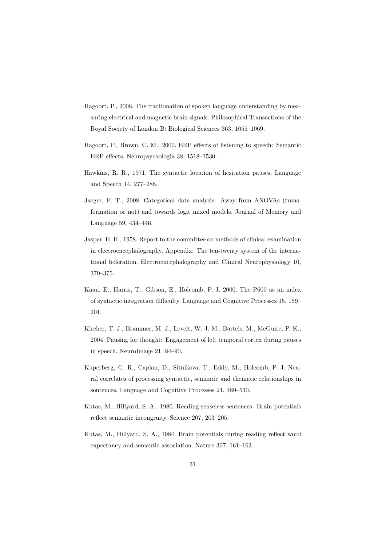- Hagoort, P., 2008. The fractionation of spoken language understanding by measuring electrical and magnetic brain signals. Philosophical Transactions of the Royal Society of London B: Biological Sciences 363, 1055–1069.
- Hagoort, P., Brown, C. M., 2000. ERP effects of listening to speech: Semantic ERP effects. Neuropsychologia 38, 1518–1530.
- Hawkins, R. R., 1971. The syntactic location of hesitation pauses. Language and Speech 14, 277–288.
- Jaeger, F. T., 2008. Categorical data analysis: Away from ANOVAs (transformation or not) and towards logit mixed models. Journal of Memory and Language 59, 434–446.
- Jasper, H. H., 1958. Report to the committee on methods of clinical examination in electroencephalography. Appendix: The ten-twenty system of the international federation. Electroencephalography and Clinical Neurophysiology 10, 370–375.
- Kaan, E., Harris, T., Gibson, E., Holcomb, P. J. 2000. The P600 as an index of syntactic integration difficulty. Language and Cognitive Processes 15, 159– 201.
- Kircher, T. J., Brammer, M. J., Levelt, W. J. M., Bartels, M., McGuire, P. K., 2004. Pausing for thought: Engagement of left temporal cortex during pauses in speech. NeuroImage 21, 84–90.
- Kuperberg, G. R., Caplan, D., Sitnikova, T., Eddy, M., Holcomb, P. J. Neural correlates of processing syntactic, semantic and thematic relationships in sentences. Language and Cognitive Processes 21, 489–530.
- Kutas, M., Hillyard, S. A., 1980. Reading senseless sentences: Brain potentials reflect semantic incongruity. Science 207, 203–205.
- Kutas, M., Hillyard, S. A., 1984. Brain potentials during reading reflect word expectancy and semantic association. Nature 307, 161–163.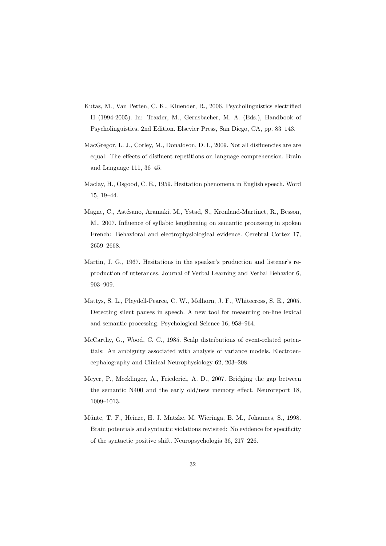- Kutas, M., Van Petten, C. K., Kluender, R., 2006. Psycholinguistics electrified II (1994-2005). In: Traxler, M., Gernsbacher, M. A. (Eds.), Handbook of Psycholinguistics, 2nd Edition. Elsevier Press, San Diego, CA, pp. 83–143.
- MacGregor, L. J., Corley, M., Donaldson, D. I., 2009. Not all disfluencies are are equal: The effects of disfluent repetitions on language comprehension. Brain and Language 111, 36–45.
- Maclay, H., Osgood, C. E., 1959. Hesitation phenomena in English speech. Word 15, 19–44.
- Magne, C., Astésano, Aramaki, M., Ystad, S., Kronland-Martinet, R., Besson, M., 2007. Influence of syllabic lengthening on semantic processing in spoken French: Behavioral and electrophysiological evidence. Cerebral Cortex 17, 2659–2668.
- Martin, J. G., 1967. Hesitations in the speaker's production and listener's reproduction of utterances. Journal of Verbal Learning and Verbal Behavior 6, 903–909.
- Mattys, S. L., Pleydell-Pearce, C. W., Melhorn, J. F., Whitecross, S. E., 2005. Detecting silent pauses in speech. A new tool for measuring on-line lexical and semantic processing. Psychological Science 16, 958–964.
- McCarthy, G., Wood, C. C., 1985. Scalp distributions of event-related potentials: An ambiguity associated with analysis of variance models. Electroencephalography and Clinical Neurophysiology 62, 203–208.
- Meyer, P., Mecklinger, A., Friederici, A. D., 2007. Bridging the gap between the semantic N400 and the early old/new memory effect. Neuroreport 18, 1009–1013.
- Münte, T. F., Heinze, H. J. Matzke, M. Wieringa, B. M., Johannes, S., 1998. Brain potentials and syntactic violations revisited: No evidence for specificity of the syntactic positive shift. Neuropsychologia 36, 217–226.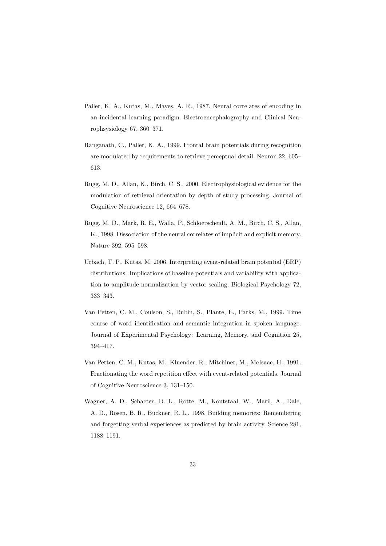- Paller, K. A., Kutas, M., Mayes, A. R., 1987. Neural correlates of encoding in an incidental learning paradigm. Electroencephalography and Clinical Neurophsysiology 67, 360–371.
- Ranganath, C., Paller, K. A., 1999. Frontal brain potentials during recognition are modulated by requirements to retrieve perceptual detail. Neuron 22, 605– 613.
- Rugg, M. D., Allan, K., Birch, C. S., 2000. Electrophysiological evidence for the modulation of retrieval orientation by depth of study processing. Journal of Cognitive Neuroscience 12, 664–678.
- Rugg, M. D., Mark, R. E., Walla, P., Schloerscheidt, A. M., Birch, C. S., Allan, K., 1998. Dissociation of the neural correlates of implicit and explicit memory. Nature 392, 595–598.
- Urbach, T. P., Kutas, M. 2006. Interpreting event-related brain potential (ERP) distributions: Implications of baseline potentials and variability with application to amplitude normalization by vector scaling. Biological Psychology 72, 333–343.
- Van Petten, C. M., Coulson, S., Rubin, S., Plante, E., Parks, M., 1999. Time course of word identification and semantic integration in spoken language. Journal of Experimental Psychology: Learning, Memory, and Cognition 25, 394–417.
- Van Petten, C. M., Kutas, M., Kluender, R., Mitchiner, M., McIsaac, H., 1991. Fractionating the word repetition effect with event-related potentials. Journal of Cognitive Neuroscience 3, 131–150.
- Wagner, A. D., Schacter, D. L., Rotte, M., Koutstaal, W., Maril, A., Dale, A. D., Rosen, B. R., Buckner, R. L., 1998. Building memories: Remembering and forgetting verbal experiences as predicted by brain activity. Science 281, 1188–1191.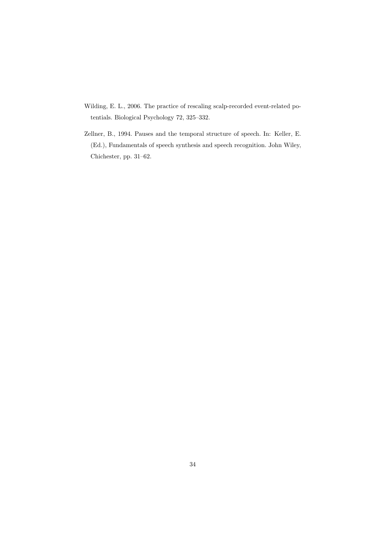- Wilding, E. L., 2006. The practice of rescaling scalp-recorded event-related potentials. Biological Psychology 72, 325–332.
- Zellner, B., 1994. Pauses and the temporal structure of speech. In: Keller, E. (Ed.), Fundamentals of speech synthesis and speech recognition. John Wiley, Chichester, pp. 31–62.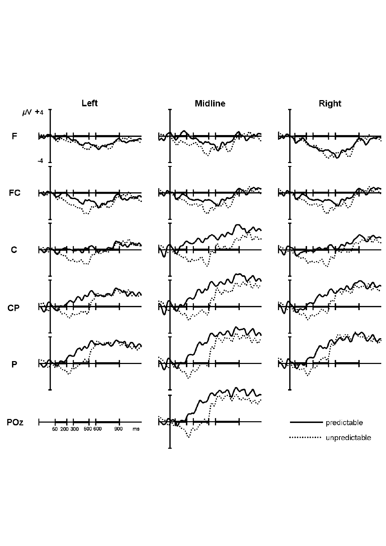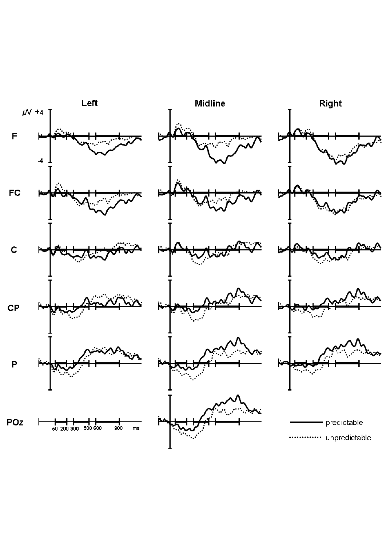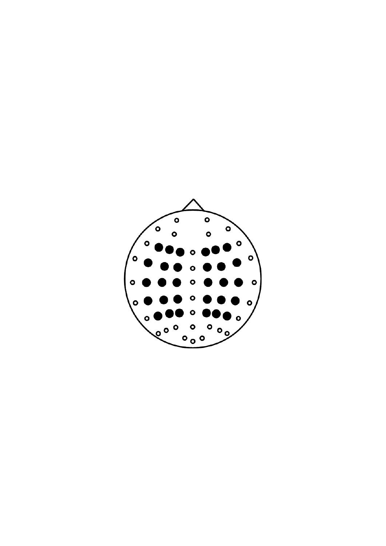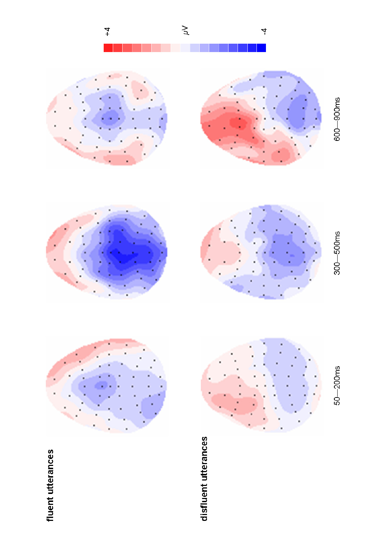